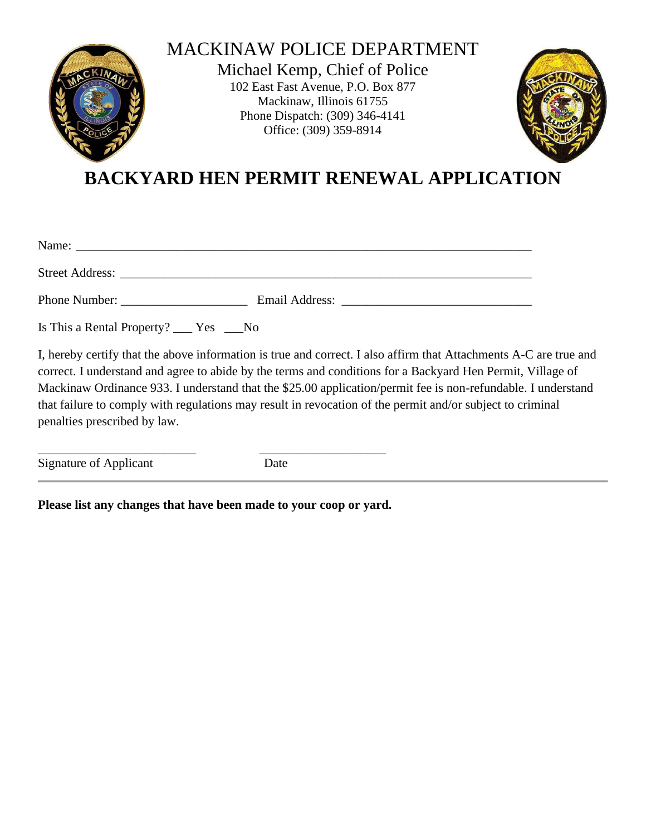

## MACKINAW POLICE DEPARTMENT

Michael Kemp, Chief of Police 102 East Fast Avenue, P.O. Box 877 Mackinaw, Illinois 61755 Phone Dispatch: (309) 346-4141 Office: (309) 359-8914



**BACKYARD HEN PERMIT RENEWAL APPLICATION**

| Phone Number:                                       |  |
|-----------------------------------------------------|--|
| Is This a Rental Property? $\_\_\_\$ Yes $\_\_\$ No |  |

I, hereby certify that the above information is true and correct. I also affirm that Attachments A-C are true and correct. I understand and agree to abide by the terms and conditions for a Backyard Hen Permit, Village of Mackinaw Ordinance 933. I understand that the \$25.00 application/permit fee is non-refundable. I understand that failure to comply with regulations may result in revocation of the permit and/or subject to criminal penalties prescribed by law.

Signature of Applicant Date

**Please list any changes that have been made to your coop or yard.** 

\_\_\_\_\_\_\_\_\_\_\_\_\_\_\_\_\_\_\_\_\_\_\_\_\_ \_\_\_\_\_\_\_\_\_\_\_\_\_\_\_\_\_\_\_\_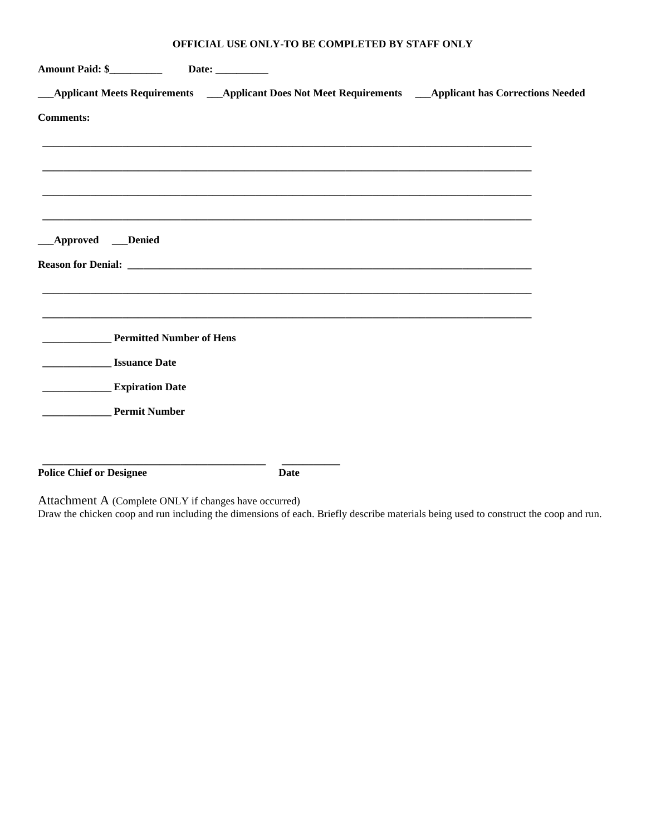| <b>Amount Paid: \$__________</b>                          | Date: $\_\_$                                                                                               |  |
|-----------------------------------------------------------|------------------------------------------------------------------------------------------------------------|--|
|                                                           | __Applicant Meets Requirements ___Applicant Does Not Meet Requirements ___Applicant has Corrections Needed |  |
| <b>Comments:</b>                                          |                                                                                                            |  |
|                                                           |                                                                                                            |  |
|                                                           |                                                                                                            |  |
|                                                           |                                                                                                            |  |
| __Approved __Denied                                       |                                                                                                            |  |
|                                                           |                                                                                                            |  |
|                                                           |                                                                                                            |  |
| <b>Permitted Number of Hens</b>                           |                                                                                                            |  |
| <b>Issuance Date</b><br>the control of the control of the |                                                                                                            |  |
| <b>Expiration Date</b>                                    |                                                                                                            |  |
| <b>Permit Number</b>                                      |                                                                                                            |  |
|                                                           |                                                                                                            |  |
| <b>Police Chief or Designee</b>                           | <b>Date</b>                                                                                                |  |

Attachment A (Complete ONLY if changes have occurred)

Draw the chicken coop and run including the dimensions of each. Briefly describe materials being used to construct the coop and run.